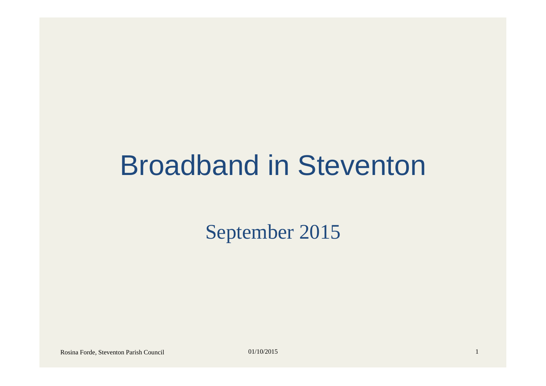### Broadband in Steventon

September 2015

Rosina Forde, Steventon Parish Council 01/10/2015 1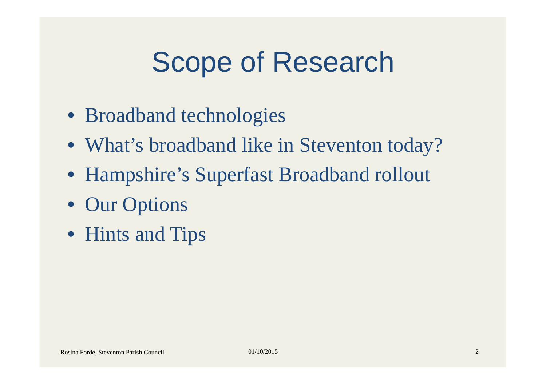## Scope of Research

- Broadband technologies
- What's broadband like in Steventon today?
- Hampshire's Superfast Broadband rollout
- Our Options
- Hints and Tips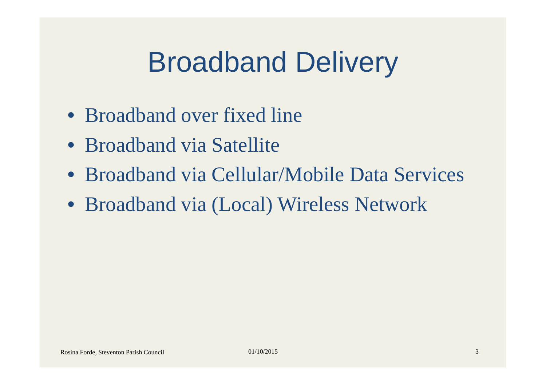## Broadband Delivery

- Broadband over fixed line
- Broadband via Satellite
- Broadband via Cellular/Mobile Data Services
- Broadband via (Local) Wireless Network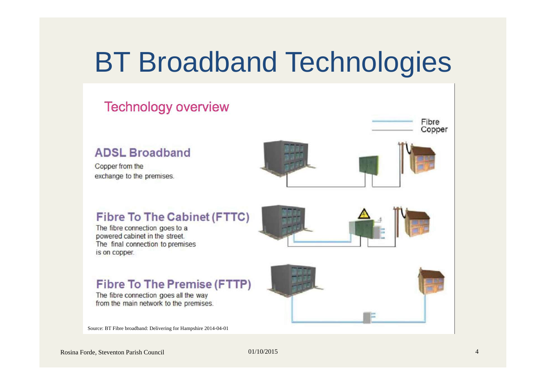### BT Broadband Technologies

#### **Technology overview** Fibre Copper **ADSL Broadband** Copper from the exchange to the premises. **Fibre To The Cabinet (FTTC)** The fibre connection goes to a powered cabinet in the street. The final connection to premises is on copper.

#### **Fibre To The Premise (FTTP)**

The fibre connection goes all the way from the main network to the premises.

Source: BT Fibre broadband: Delivering for Hampshire 2014-04-01



Rosina Forde, Steventon Parish Council 01/10/2015 00/10/2015 4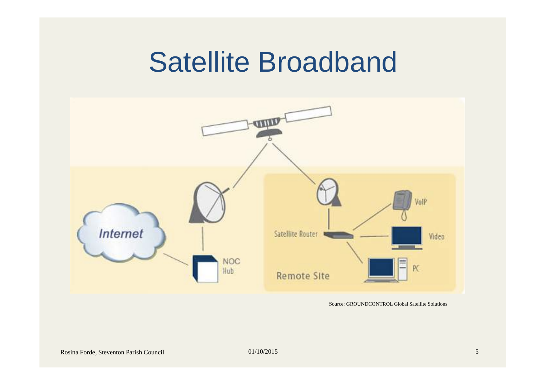### Satellite Broadband



Source: GROUNDCONTROL Global Satellite Solutions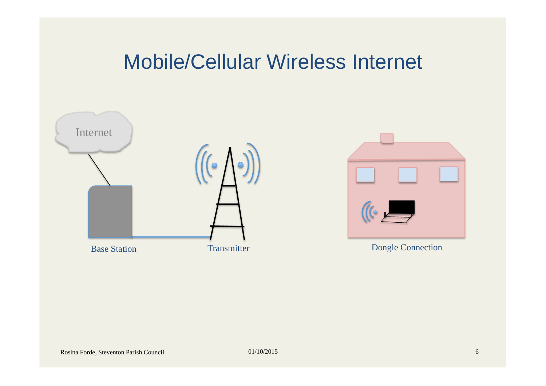#### Mobile/Cellular Wireless Internet





Dongle Connection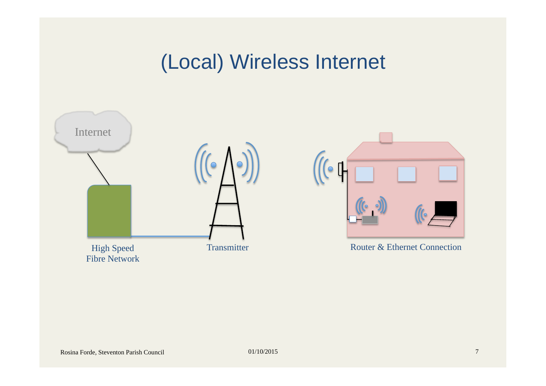### (Local) Wireless Internet

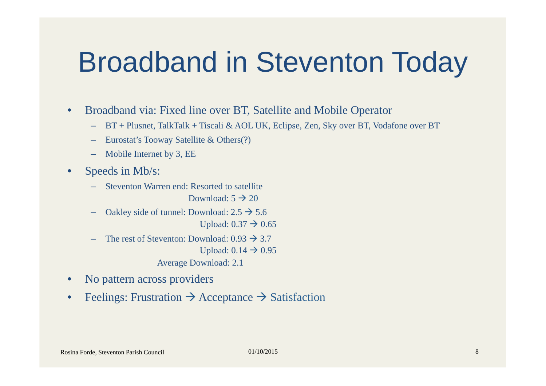### Broadband in Steventon Today

- Broadband via: Fixed line over BT, Satellite and Mobile Operator
	- BT + Plusnet, TalkTalk + Tiscali & AOL UK, Eclipse, Zen, Sky over BT, Vodafone over BT
	- Eurostat's Tooway Satellite & Others(?)
	- Mobile Internet by 3, EE
- Speeds in Mb/s:
	- Steventon Warren end: Resorted to satellite
		- Download:  $5 \rightarrow 20$
	- Oakley side of tunnel: Download:  $2.5 \rightarrow 5.6$ Upload:  $0.37 \rightarrow 0.65$
	- The rest of Steventon: Download:  $0.93 \rightarrow 3.7$ Upload:  $0.14 \rightarrow 0.95$ 
		- Average Download: 2.1
- No pattern across providers
- Feelings: Frustration  $\rightarrow$  Acceptance  $\rightarrow$  Satisfaction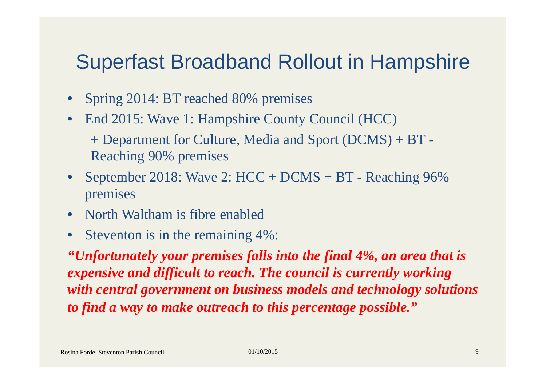#### Superfast Broadband Rollout in Hampshire

- Spring 2014: BT reached 80% premises
- End 2015: Wave 1: Hampshire County Council (HCC) + Department for Culture, Media and Sport (DCMS) + BT -
	- Reaching 90% premises
- September 2018: Wave 2: HCC + DCMS + BT Reaching 96% premises
- North Waltham is fibre enabled
- Steventon is in the remaining 4%:

*"Unfortunately your premises falls into the final 4%, an area that is expensive and difficult to reach. The council is currently working with central government on business models and technology solutions to find a way to make outreach to this percentage possible."*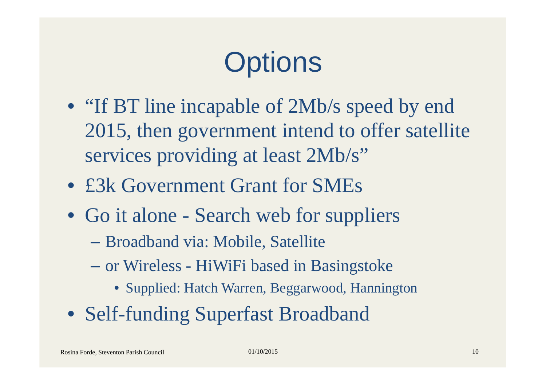# **Options**

- "If BT line incapable of 2Mb/s speed by end 2015, then government intend to offer satellite services providing at least 2Mb/s"
- £3k Government Grant for SMEs
- Go it alone Search web for suppliers
	- Broadband via: Mobile, Satellite
	- or Wireless HiWiFi based in Basingstoke
		- Supplied: Hatch Warren, Beggarwood, Hannington
- Self-funding Superfast Broadband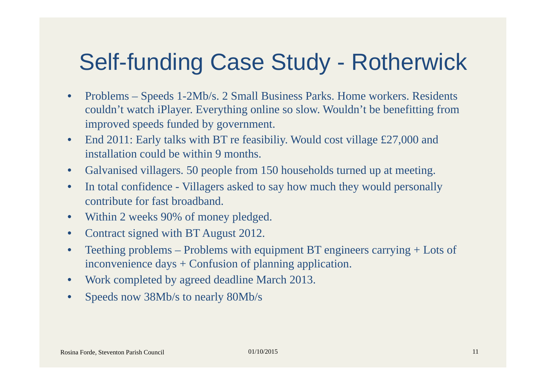### Self-funding Case Study - Rotherwick

- Problems Speeds 1-2Mb/s. 2 Small Business Parks. Home workers. Residents couldn't watch iPlayer. Everything online so slow. Wouldn't be benefitting from improved speeds funded by government.
- End 2011: Early talks with BT re feasibiliy. Would cost village £27,000 and installation could be within 9 months.
- Galvanised villagers. 50 people from 150 households turned up at meeting.
- In total confidence Villagers asked to say how much they would personally contribute for fast broadband.
- Within 2 weeks 90% of money pledged.
- Contract signed with BT August 2012.
- Teething problems Problems with equipment BT engineers carrying + Lots of inconvenience days + Confusion of planning application.
- Work completed by agreed deadline March 2013.
- Speeds now 38Mb/s to nearly 80Mb/s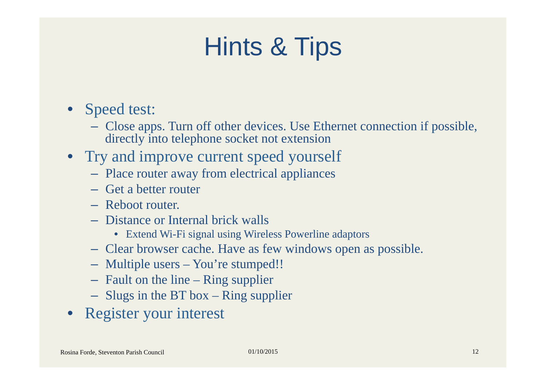### Hints & Tips

- Speed test:
	- Close apps. Turn off other devices. Use Ethernet connection if possible, directly into telephone socket not extension
- Try and improve current speed yourself
	- Place router away from electrical appliances
	- Get a better router
	- Reboot router.
	- Distance or Internal brick walls
		- Extend Wi-Fi signal using Wireless Powerline adaptors
	- Clear browser cache. Have as few windows open as possible.
	- Multiple users You're stumped!!
	- Fault on the line Ring supplier
	- Slugs in the BT box Ring supplier
- Register your interest